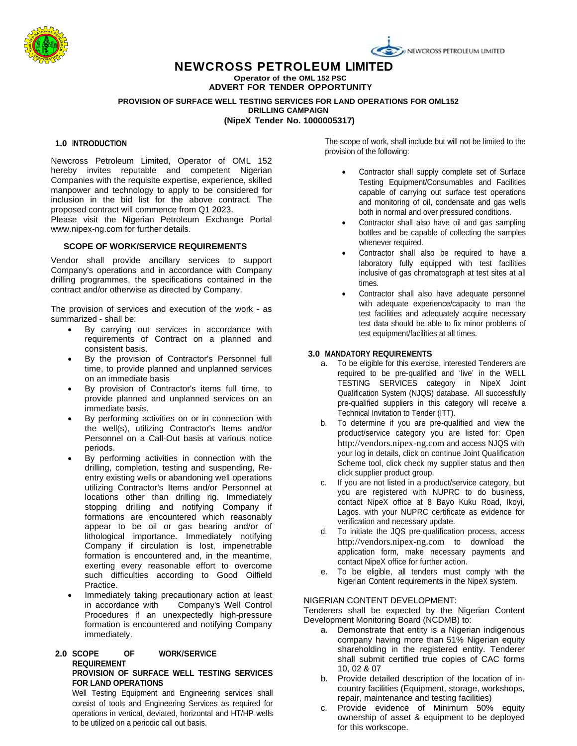

# **NEWCROSS PETROLEUM LIMITED**

**Operator of the OML 152 PSC ADVERT FOR TENDER OPPORTUNITY**

# **PROVISION OF SURFACE WELL TESTING SERVICES FOR LAND OPERATIONS FOR OML152 DRILLING CAMPAIGN**

**(NipeX Tender No. 1000005317)**

## **1.0 INTRODUCTION**

Newcross Petroleum Limited, Operator of OML 152 hereby invites reputable and competent Nigerian Companies with the requisite expertise, experience, skilled manpower and technology to apply to be considered for inclusion in the bid list for the above contract. The proposed contract will commence from Q1 2023.

Please visit the Nigerian Petroleum Exchange Portal www.nipex-ng.com for further details.

## **SCOPE OF WORK/SERVICE REQUIREMENTS**

Vendor shall provide ancillary services to support Company's operations and in accordance with Company drilling programmes, the specifications contained in the contract and/or otherwise as directed by Company.

The provision of services and execution of the work - as summarized - shall be:

- By carrying out services in accordance with requirements of Contract on a planned and consistent basis.
- By the provision of Contractor's Personnel full time, to provide planned and unplanned services on an immediate basis
- By provision of Contractor's items full time, to provide planned and unplanned services on an immediate basis.
- By performing activities on or in connection with the well(s), utilizing Contractor's Items and/or Personnel on a Call-Out basis at various notice periods.
- By performing activities in connection with the drilling, completion, testing and suspending, Reentry existing wells or abandoning well operations utilizing Contractor's Items and/or Personnel at locations other than drilling rig. Immediately stopping drilling and notifying Company if formations are encountered which reasonably appear to be oil or gas bearing and/or of lithological importance. Immediately notifying Company if circulation is lost, impenetrable formation is encountered and, in the meantime, exerting every reasonable effort to overcome such difficulties according to Good Oilfield Practice.
- Immediately taking precautionary action at least in accordance with Company's Well Control Procedures if an unexpectedly high-pressure formation is encountered and notifying Company immediately.

#### **2.0 SCOPE OF WORK/SERVICE REQUIREMENT PROVISION OF SURFACE WELL TESTING SERVICES FOR LAND OPERATIONS**

Well Testing Equipment and Engineering services shall consist of tools and Engineering Services as required for operations in vertical, deviated, horizontal and HT/HP wells to be utilized on a periodic call out basis.

The scope of work, shall include but will not be limited to the provision of the following:

- Contractor shall supply complete set of Surface Testing Equipment/Consumables and Facilities capable of carrying out surface test operations and monitoring of oil, condensate and gas wells both in normal and over pressured conditions.
- Contractor shall also have oil and gas sampling bottles and be capable of collecting the samples whenever required.
- Contractor shall also be required to have a laboratory fully equipped with test facilities inclusive of gas chromatograph at test sites at all times.
- Contractor shall also have adequate personnel with adequate experience/capacity to man the test facilities and adequately acquire necessary test data should be able to fix minor problems of test equipment/facilities at all times.

## **3.0 MANDATORY REQUIREMENTS**

- a. To be eligible for this exercise, interested Tenderers are required to be pre-qualified and 'live' in the WELL TESTING SERVICES category in NipeX Joint Qualification System (NJQS) database. All successfully pre-qualified suppliers in this category will receive a Technical Invitation to Tender (ITT).
- b. To determine if you are pre-qualified and view the product/service category you are listed for: Open [http://vendors.nipex-ng.com](http://vendors.nipex-ng.com/) and access NJQS with your log in details, click on continue Joint Qualification Scheme tool, click check my supplier status and then click supplier product group.
- c. If you are not listed in a product/service category, but you are registered with NUPRC to do business, contact NipeX office at 8 Bayo Kuku Road, Ikoyi, Lagos. with your NUPRC certificate as evidence for verification and necessary update.
- d. To initiate the JQS pre-qualification process, access [http://vendors.nipex-ng.com](http://vendors.nipex-ng.com/) to download the application form, make necessary payments and contact NipeX office for further action.
- e. To be eligible, all tenders must comply with the Nigerian Content requirements in the NipeX system.

## NIGERIAN CONTENT DEVELOPMENT:

Tenderers shall be expected by the Nigerian Content Development Monitoring Board (NCDMB) to:

- a. Demonstrate that entity is a Nigerian indigenous company having more than 51% Nigerian equity shareholding in the registered entity. Tenderer shall submit certified true copies of CAC forms 10, 02 & 07
- b. Provide detailed description of the location of incountry facilities (Equipment, storage, workshops, repair, maintenance and testing facilities)
- c. Provide evidence of Minimum 50% equity ownership of asset & equipment to be deployed for this workscope.